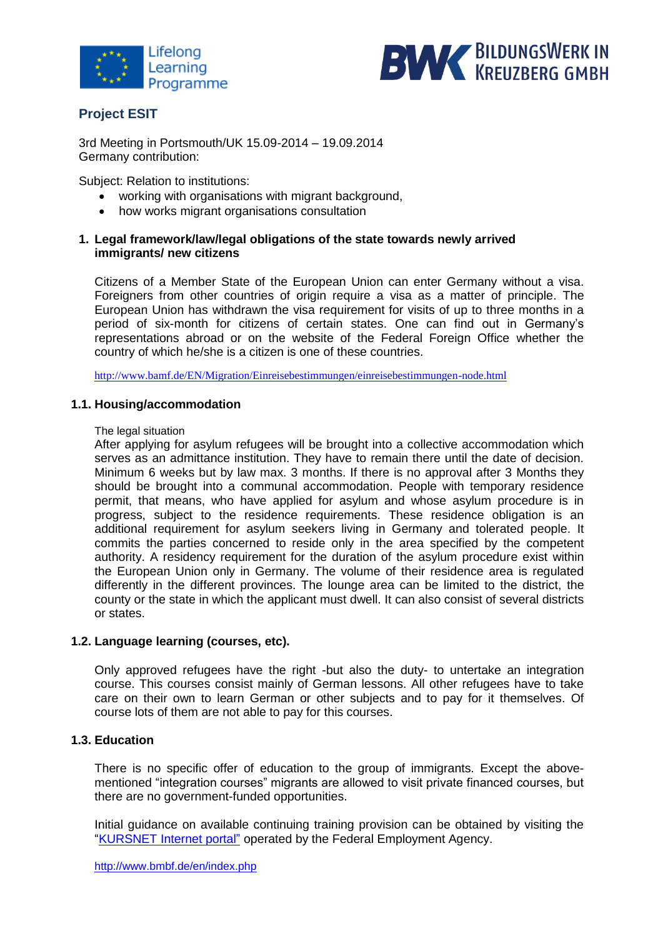



# **Project ESIT**

3rd Meeting in Portsmouth/UK 15.09-2014 – 19.09.2014 Germany [contribution:](http://www.dict.cc/englisch-deutsch/contribution.html)

Subject: Relation to institutions:

- working with organisations with migrant background,
- how works migrant organisations consultation

## **1. Legal framework/law/legal obligations of the state towards newly arrived immigrants/ new citizens**

Citizens of a Member State of the European Union can enter Germany without a visa. Foreigners from other countries of origin require a visa as a matter of principle. The European Union has withdrawn the visa requirement for visits of up to three months in a period of six-month for citizens of certain states. One can find out in Germany's representations abroad or on the website of the Federal Foreign Office whether the country of which he/she is a citizen is one of these countries.

<http://www.bamf.de/EN/Migration/Einreisebestimmungen/einreisebestimmungen-node.html>

## **1.1. Housing/accommodation**

## The legal situation

After [applyin](http://www.dict.cc/englisch-deutsch/apply.html)g [for](http://www.dict.cc/englisch-deutsch/for.html) [asylum](http://www.dict.cc/englisch-deutsch/asylum.html) refugees will be brought into a [collective](http://www.dict.cc/englisch-deutsch/collective.html) [accommodation](http://www.dict.cc/englisch-deutsch/accommodation.html) which serves as an [admittance](http://www.dict.cc/englisch-deutsch/admittance.html) institution. They have to remain there until the date of decision. Minimum 6 weeks but by law max. 3 months. If there is no [approval](http://www.dict.cc/englisch-deutsch/approval.html) after 3 Months they should be brought into a [communal](http://www.dict.cc/englisch-deutsch/communal.html) [accommodation.](http://www.dict.cc/englisch-deutsch/accommodation.html) People with temporary residence permit, that means, who have applied for asylum and whose asylum procedure is in progress, subject to the residence requirements. These residence obligation is an additional requirement for asylum seekers living in Germany and tolerated people. It commits the parties concerned to reside only in the area specified by the competent authority. A residency requirement for the duration of the asylum procedure exist within the European Union only in Germany. The volume of their residence area is regulated differently in the different provinces. The lounge area can be limited to the district, the county or the state in which the applicant must dwell. It can also consist of several districts or states.

## **1.2. Language learning (courses, etc).**

Only approved refugees have the right -but also the duty- to untertake an integration course. This courses consist mainly of German lessons. All other refugees have to take care on their own to learn German or other subjects and to pay for it themselves. Of course lots of them are not able to pay for this courses.

## **1.3. Education**

There is no specific offer of education to the group of immigrants. Except the [above](http://www.dict.cc/englisch-deutsch/above-mentioned.html)[mentioned](http://www.dict.cc/englisch-deutsch/above-mentioned.html) "integration courses" migrants are allowed to visit private financed courses, but there are no [government-funded](http://www.dict.cc/englisch-deutsch/government-funded.html) opportunities.

Initial guidance on available continuing training provision can be obtained by visiting the ["KURSNET Internet portal"](http://www.kursnet.arbeitsagentur.de/) operated by the Federal Employment Agency.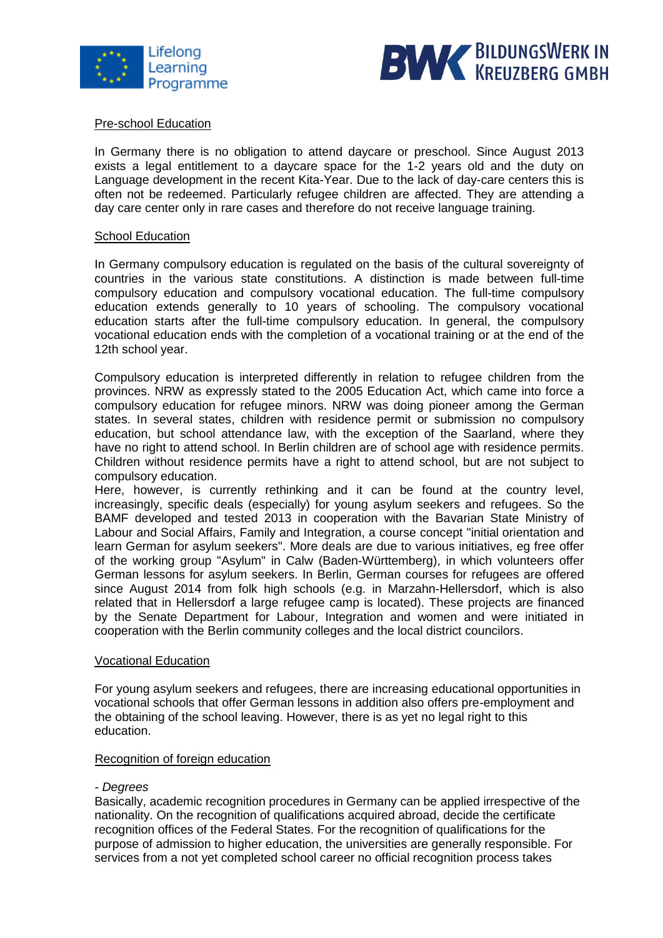



## Pre-school Education

In Germany there is no obligation to attend daycare or preschool. Since August 2013 exists a legal entitlement to a daycare space for the 1-2 years old and the duty on Language development in the recent Kita-Year. Due to the lack of day-care centers this is often not be redeemed. Particularly refugee children are affected. They are attending a day care center only in rare cases and therefore do not receive language training.

#### School Education

In Germany compulsory education is regulated on the basis of the cultural sovereignty of countries in the various state constitutions. A distinction is made between full-time compulsory education and compulsory vocational education. The full-time compulsory education extends generally to 10 years of schooling. The compulsory vocational education starts after the full-time compulsory education. In general, the compulsory vocational education ends with the completion of a vocational training or at the end of the 12th school year.

Compulsory education is interpreted differently in relation to refugee children from the provinces. NRW as expressly stated to the 2005 Education Act, which came into force a compulsory education for refugee minors. NRW was doing pioneer among the German states. In several states, children with residence permit or submission no compulsory education, but school attendance law, with the exception of the Saarland, where they have no right to attend school. In Berlin children are of school age with residence permits. Children without residence permits have a right to attend school, but are not subject to compulsory education.

Here, however, is currently rethinking and it can be found at the country level, increasingly, specific deals (especially) for young asylum seekers and refugees. So the BAMF developed and tested 2013 in cooperation with the Bavarian State Ministry of Labour and Social Affairs, Family and Integration, a course concept "initial orientation and learn German for asylum seekers". More deals are due to various initiatives, eg free offer of the working group "Asylum" in Calw (Baden-Württemberg), in which volunteers offer German lessons for asylum seekers. In Berlin, German courses for refugees are offered since August 2014 from folk high schools (e.g. in Marzahn-Hellersdorf, which is also related that in Hellersdorf a large refugee camp is located). These projects are financed by the Senate Department for Labour, Integration and women and were initiated in cooperation with the Berlin community colleges and the local district councilors.

## Vocational Education

For young asylum seekers and refugees, there are increasing educational opportunities in vocational schools that offer German lessons in addition also offers pre-employment and the obtaining of the school leaving. However, there is as yet no legal right to this education.

## Recognition of foreign education

## *- Degrees*

Basically, academic recognition procedures in Germany can be applied irrespective of the nationality. On the recognition of qualifications acquired abroad, decide the certificate recognition offices of the Federal States. For the recognition of qualifications for the purpose of admission to higher education, the universities are generally responsible. For services from a not yet completed school career no official recognition process takes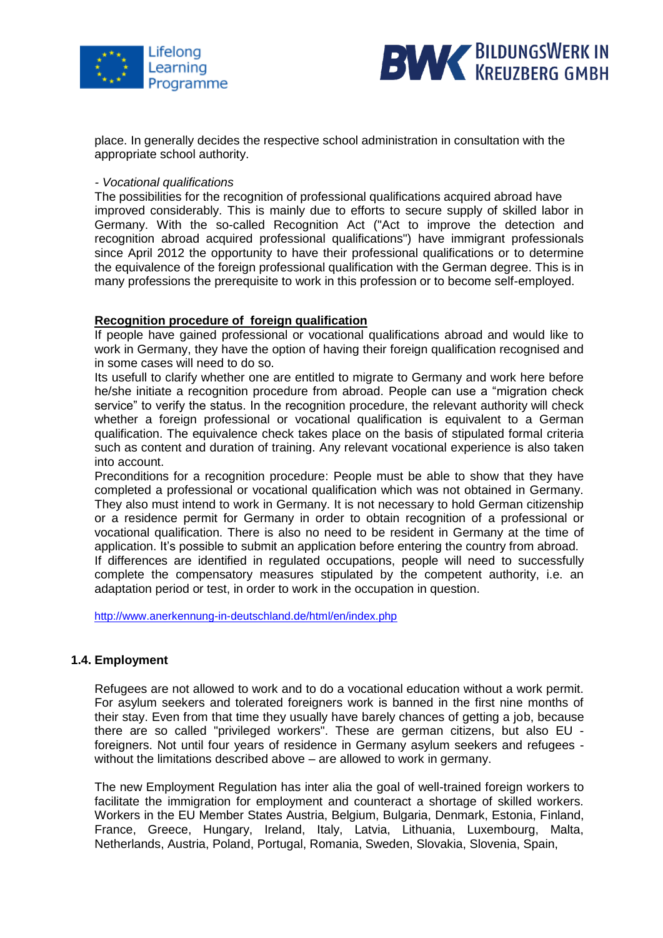



place. In generally decides the respective school administration in consultation with the appropriate school authority.

#### *- Vocational qualifications*

The possibilities for the recognition of professional qualifications acquired abroad have improved considerably. This is mainly due to efforts to secure supply of skilled labor in Germany. With the so-called Recognition Act ("Act to improve the detection and recognition abroad acquired professional qualifications") have immigrant professionals since April 2012 the opportunity to have their professional qualifications or to determine the equivalence of the foreign professional qualification with the German degree. This is in many professions the prerequisite to work in this profession or to become self-employed.

## **Recognition procedure of foreign qualification**

If people have gained professional or vocational qualifications abroad and would like to work in Germany, they have the option of having their foreign qualification recognised and in some cases will need to do so.

Its usefull to clarify whether one are entitled to migrate to Germany and work here before he/she initiate a recognition procedure from abroad. People can use a "migration check service" to verify the status. In the recognition procedure, the relevant authority will check whether a foreign professional or vocational qualification is equivalent to a German qualification. The equivalence check takes place on the basis of stipulated formal criteria such as content and duration of training. Any relevant vocational experience is also taken into account.

Preconditions for a recognition procedure: People must be able to show that they have completed a professional or vocational qualification which was not obtained in Germany. They also must intend to work in Germany. It is not necessary to hold German citizenship or a residence permit for Germany in order to obtain recognition of a professional or vocational qualification. There is also no need to be resident in Germany at the time of application. It's possible to submit an application before entering the country from abroad. If differences are identified in regulated occupations, people will need to successfully complete the compensatory measures stipulated by the competent authority, i.e. an adaptation period or test, in order to work in the occupation in question.

<http://www.anerkennung-in-deutschland.de/html/en/index.php>

## **1.4. Employment**

Refugees are not allowed to work and to do a vocational education without a work permit. For asylum seekers and tolerated foreigners work is banned in the first nine months of their stay. Even from that time they usually have barely chances of getting a job, because there are so called "privileged workers". These are german citizens, but also EU foreigners. Not until four years of residence in Germany asylum seekers and refugees without the limitations described above – are allowed to work in germany.

The new Employment Regulation has inter alia the goal of well-trained foreign workers to facilitate the immigration for employment and counteract a shortage of skilled workers. Workers in the EU Member States Austria, Belgium, Bulgaria, Denmark, Estonia, Finland, France, Greece, Hungary, Ireland, Italy, Latvia, Lithuania, Luxembourg, Malta, Netherlands, Austria, Poland, Portugal, Romania, Sweden, Slovakia, Slovenia, Spain,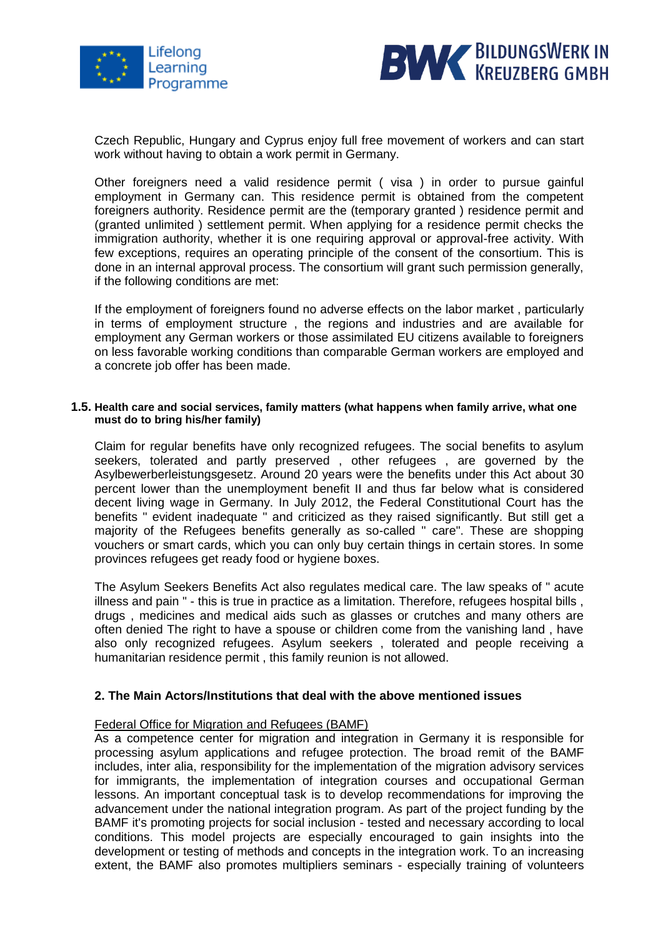



Czech Republic, Hungary and Cyprus enjoy full free movement of workers and can start work without having to obtain a work permit in Germany.

Other foreigners need a valid residence permit ( visa ) in order to pursue gainful employment in Germany can. This residence permit is obtained from the competent foreigners authority. Residence permit are the (temporary granted ) residence permit and (granted unlimited ) settlement permit. When applying for a residence permit checks the immigration authority, whether it is one requiring approval or approval-free activity. With few exceptions, requires an operating principle of the consent of the consortium. This is done in an internal approval process. The consortium will grant such permission generally, if the following conditions are met:

If the employment of foreigners found no adverse effects on the labor market , particularly in terms of employment structure , the regions and industries and are available for employment any German workers or those assimilated EU citizens available to foreigners on less favorable working conditions than comparable German workers are employed and a concrete job offer has been made.

#### **1.5. Health care and social services, family matters (what happens when family arrive, what one must do to bring his/her family)**

Claim for regular benefits have only recognized refugees. The social benefits to asylum seekers, tolerated and partly preserved , other refugees , are governed by the Asylbewerberleistungsgesetz. Around 20 years were the benefits under this Act about 30 percent lower than the unemployment benefit II and thus far below what is considered decent living wage in Germany. In July 2012, the Federal Constitutional Court has the benefits " evident inadequate " and criticized as they raised significantly. But still get a majority of the Refugees benefits generally as so-called " care". These are shopping vouchers or smart cards, which you can only buy certain things in certain stores. In some provinces refugees get ready food or hygiene boxes.

The Asylum Seekers Benefits Act also regulates medical care. The law speaks of " acute illness and pain " - this is true in practice as a limitation. Therefore, refugees hospital bills , drugs , medicines and medical aids such as glasses or crutches and many others are often denied The right to have a spouse or children come from the vanishing land , have also only recognized refugees. Asylum seekers , tolerated and people receiving a humanitarian residence permit , this family reunion is not allowed.

## **2. The Main Actors/Institutions that deal with the above mentioned issues**

## Federal Office for Migration and Refugees (BAMF)

As a competence center for migration and integration in Germany it is responsible for processing asylum applications and refugee protection. The broad remit of the BAMF includes, inter alia, responsibility for the implementation of the migration advisory services for immigrants, the implementation of integration courses and occupational German lessons. An important conceptual task is to develop recommendations for improving the advancement under the national integration program. As part of the project funding by the BAMF it's promoting projects for social inclusion - tested and necessary according to local conditions. This model projects are especially encouraged to gain insights into the development or testing of methods and concepts in the integration work. To an increasing extent, the BAMF also promotes multipliers seminars - especially training of volunteers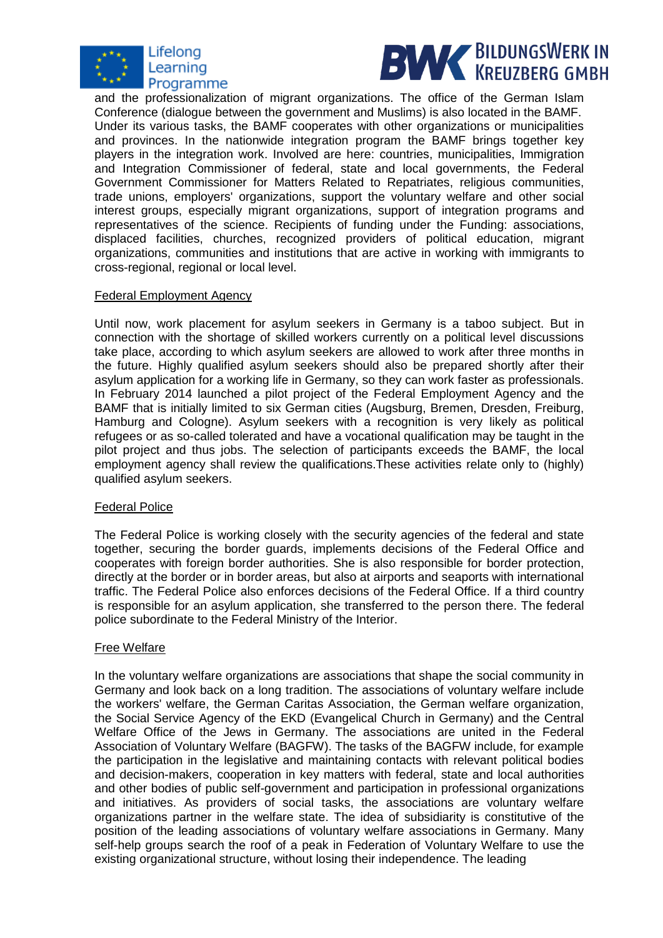



and the professionalization of migrant organizations. The office of the German Islam Conference (dialogue between the government and Muslims) is also located in the BAMF. Under its various tasks, the BAMF cooperates with other organizations or municipalities and provinces. In the nationwide integration program the BAMF brings together key players in the integration work. Involved are here: countries, municipalities, Immigration and Integration Commissioner of federal, state and local governments, the Federal Government Commissioner for Matters Related to Repatriates, religious communities, trade unions, employers' organizations, support the voluntary welfare and other social interest groups, especially migrant organizations, support of integration programs and representatives of the science. Recipients of funding under the Funding: associations, displaced facilities, churches, recognized providers of political education, migrant organizations, communities and institutions that are active in working with immigrants to cross-regional, regional or local level.

## Federal Employment Agency

Until now, work placement for asylum seekers in Germany is a taboo subject. But in connection with the shortage of skilled workers currently on a political level discussions take place, according to which asylum seekers are allowed to work after three months in the future. Highly qualified asylum seekers should also be prepared shortly after their asylum application for a working life in Germany, so they can work faster as professionals. In February 2014 launched a pilot project of the Federal Employment Agency and the BAMF that is initially limited to six German cities (Augsburg, Bremen, Dresden, Freiburg, Hamburg and Cologne). Asylum seekers with a recognition is very likely as political refugees or as so-called tolerated and have a vocational qualification may be taught in the pilot project and thus jobs. The selection of participants exceeds the BAMF, the local employment agency shall review the qualifications.These activities relate only to (highly) qualified asylum seekers.

## Federal Police

The Federal Police is working closely with the security agencies of the federal and state together, securing the border guards, implements decisions of the Federal Office and cooperates with foreign border authorities. She is also responsible for border protection, directly at the border or in border areas, but also at airports and seaports with international traffic. The Federal Police also enforces decisions of the Federal Office. If a third country is responsible for an asylum application, she transferred to the person there. The federal police subordinate to the Federal Ministry of the Interior.

## Free Welfare

In the voluntary welfare organizations are associations that shape the social community in Germany and look back on a long tradition. The associations of voluntary welfare include the workers' welfare, the German Caritas Association, the German welfare organization, the Social Service Agency of the EKD (Evangelical Church in Germany) and the Central Welfare Office of the Jews in Germany. The associations are united in the Federal Association of Voluntary Welfare (BAGFW). The tasks of the BAGFW include, for example the participation in the legislative and maintaining contacts with relevant political bodies and decision-makers, cooperation in key matters with federal, state and local authorities and other bodies of public self-government and participation in professional organizations and initiatives. As providers of social tasks, the associations are voluntary welfare organizations partner in the welfare state. The idea of subsidiarity is constitutive of the position of the leading associations of voluntary welfare associations in Germany. Many self-help groups search the roof of a peak in Federation of Voluntary Welfare to use the existing organizational structure, without losing their independence. The leading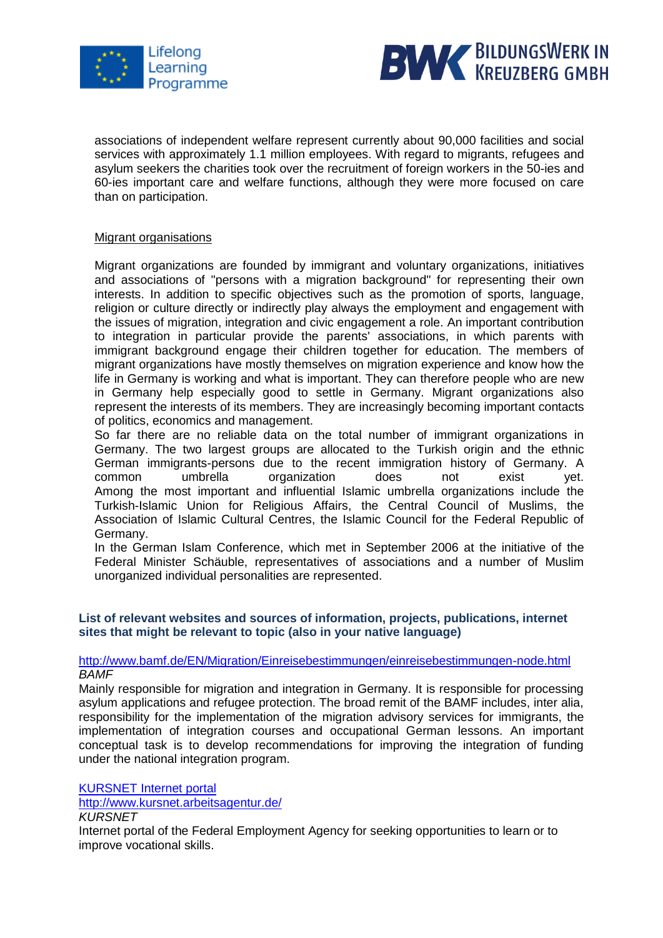



associations of independent welfare represent currently about 90,000 facilities and social services with approximately 1.1 million employees. With regard to migrants, refugees and asylum seekers the charities took over the recruitment of foreign workers in the 50-ies and 60-ies important care and welfare functions, although they were more focused on care than on participation.

## Migrant organisations

Migrant organizations are founded by immigrant and voluntary organizations, initiatives and associations of "persons with a migration background" for representing their own interests. In addition to specific objectives such as the promotion of sports, language, religion or culture directly or indirectly play always the employment and engagement with the issues of migration, integration and civic engagement a role. An important contribution to integration in particular provide the parents' associations, in which parents with immigrant background engage their children together for education. The members of migrant organizations have mostly themselves on migration experience and know how the life in Germany is working and what is important. They can therefore people who are new in Germany help especially good to settle in Germany. Migrant organizations also represent the interests of its members. They are increasingly becoming important contacts of politics, economics and management.

So far there are no reliable data on the total number of immigrant organizations in Germany. The two largest groups are allocated to the Turkish origin and the ethnic German immigrants-persons due to the recent immigration history of Germany. A common umbrella organization does not exist yet. Among the most important and influential Islamic umbrella organizations include the Turkish-Islamic Union for Religious Affairs, the Central Council of Muslims, the Association of Islamic Cultural Centres, the Islamic Council for the Federal Republic of Germany.

In the German Islam Conference, which met in September 2006 at the initiative of the Federal Minister Schäuble, representatives of associations and a number of Muslim unorganized individual personalities are represented.

## **List of relevant websites and sources of information, projects, publications, internet sites that might be relevant to topic (also in your native language)**

## <http://www.bamf.de/EN/Migration/Einreisebestimmungen/einreisebestimmungen-node.html> *BAMF*

[Mainly](http://www.dict.cc/englisch-deutsch/mainly.html) responsible for migration and integration in Germany. It is responsible for processing asylum applications and refugee protection. The broad remit of the BAMF includes, inter alia, responsibility for the implementation of the migration advisory services for immigrants, the implementation of integration courses and occupational German lessons. An important conceptual task is to develop recommendations for improving the integration of funding under the national integration program.

[KURSNET Internet portal](http://www.kursnet.arbeitsagentur.de/)

http://www.kursnet.arbeitsagentur.de/

*KURSNET*

Internet portal of the Federal Employment Agency for seeking opportunities to learn or to improve vocational skills.